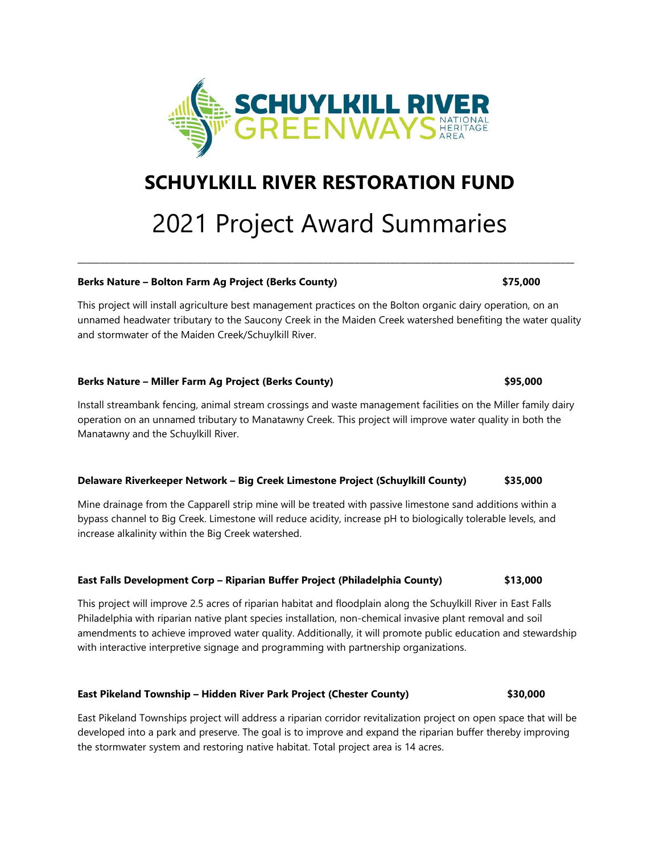

## **SCHUYLKILL RIVER RESTORATION FUND**

# 2021 Project Award Summaries

**\_\_\_\_\_\_\_\_\_\_\_\_\_\_\_\_\_\_\_\_\_\_\_\_\_\_\_\_\_\_\_\_\_\_\_\_\_\_\_\_\_\_\_\_\_\_\_\_\_\_\_\_\_\_\_\_\_\_\_\_\_\_\_\_\_\_\_\_\_\_\_\_\_\_\_\_\_\_\_\_\_\_\_\_\_\_\_\_\_\_\_\_\_\_\_\_\_\_\_\_\_\_\_\_\_\_\_\_\_\_\_**

#### **Berks Nature – Bolton Farm Ag Project (Berks County) \$75,000**

This project will install agriculture best management practices on the Bolton organic dairy operation, on an unnamed headwater tributary to the Saucony Creek in the Maiden Creek watershed benefiting the water quality and stormwater of the Maiden Creek/Schuylkill River.

#### **Berks Nature – Miller Farm Ag Project (Berks County) \$95,000**

Install streambank fencing, animal stream crossings and waste management facilities on the Miller family dairy operation on an unnamed tributary to Manatawny Creek. This project will improve water quality in both the Manatawny and the Schuylkill River.

### **Delaware Riverkeeper Network – Big Creek Limestone Project (Schuylkill County) \$35,000**

Mine drainage from the Capparell strip mine will be treated with passive limestone sand additions within a bypass channel to Big Creek. Limestone will reduce acidity, increase pH to biologically tolerable levels, and increase alkalinity within the Big Creek watershed.

#### **East Falls Development Corp – Riparian Buffer Project (Philadelphia County) \$13,000**

This project will improve 2.5 acres of riparian habitat and floodplain along the Schuylkill River in East Falls Philadelphia with riparian native plant species installation, non-chemical invasive plant removal and soil amendments to achieve improved water quality. Additionally, it will promote public education and stewardship with interactive interpretive signage and programming with partnership organizations.

#### **East Pikeland Township – Hidden River Park Project (Chester County) \$30,000**

East Pikeland Townships project will address a riparian corridor revitalization project on open space that will be developed into a park and preserve. The goal is to improve and expand the riparian buffer thereby improving the stormwater system and restoring native habitat. Total project area is 14 acres.